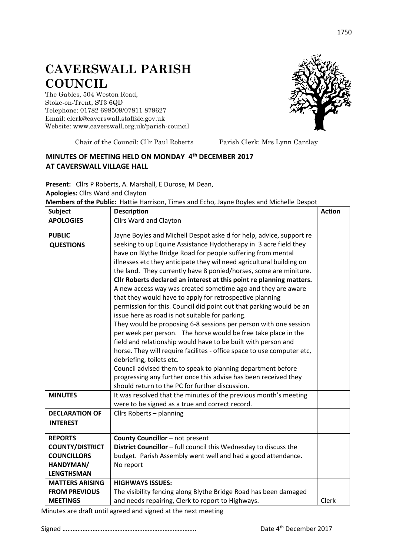## **CAVERSWALL PARISH COUNCIL**

The Gables, 504 Weston Road, Stoke-on-Trent, ST3 6QD Telephone: 01782 698509/07811 879627 Email: clerk@caverswall.staffslc.gov.uk Website: [www.c](http://www.dilhorneparishcouncil.co.uk/)averswall.org.uk/parish-council



Chair of the Council: Cllr Paul Roberts Parish Clerk: Mrs Lynn Cantlay

## **MINUTES OF MEETING HELD ON MONDAY 4 th DECEMBER 2017 AT CAVERSWALL VILLAGE HALL**

**Present:** Cllrs P Roberts, A. Marshall, E Durose, M Dean, **Apologies:** Cllrs Ward and Clayton

**Members of the Public:** Hattie Harrison, Times and Echo, Jayne Boyles and Michelle Despot

| <b>Subject</b>         | <b>Description</b>                                                     | <b>Action</b> |
|------------------------|------------------------------------------------------------------------|---------------|
| <b>APOLOGIES</b>       | <b>Cllrs Ward and Clayton</b>                                          |               |
| <b>PUBLIC</b>          | Jayne Boyles and Michell Despot aske d for help, advice, support re    |               |
| <b>QUESTIONS</b>       | seeking to up Equine Assistance Hydotherapy in 3 acre field they       |               |
|                        | have on Blythe Bridge Road for people suffering from mental            |               |
|                        | illnesses etc they anticipate they wil need agricultural building on   |               |
|                        | the land. They currently have 8 ponied/horses, some are miniture.      |               |
|                        | Cllr Roberts declared an interest at this point re planning matters.   |               |
|                        | A new access way was created sometime ago and they are aware           |               |
|                        | that they would have to apply for retrospective planning               |               |
|                        | permission for this. Council did point out that parking would be an    |               |
|                        | issue here as road is not suitable for parking.                        |               |
|                        | They would be proposing 6-8 sessions per person with one session       |               |
|                        | per week per person. The horse would be free take place in the         |               |
|                        | field and relationship would have to be built with person and          |               |
|                        | horse. They will require facilites - office space to use computer etc, |               |
|                        | debriefing, toilets etc.                                               |               |
|                        | Council advised them to speak to planning department before            |               |
|                        | progressing any further once this advise has been received they        |               |
|                        | should return to the PC for further discussion.                        |               |
| <b>MINUTES</b>         | It was resolved that the minutes of the previous month's meeting       |               |
|                        | were to be signed as a true and correct record.                        |               |
| <b>DECLARATION OF</b>  | Cllrs Roberts - planning                                               |               |
| <b>INTEREST</b>        |                                                                        |               |
| <b>REPORTS</b>         | County Councillor - not present                                        |               |
| <b>COUNTY/DISTRICT</b> | District Councillor - full council this Wednesday to discuss the       |               |
| <b>COUNCILLORS</b>     | budget. Parish Assembly went well and had a good attendance.           |               |
| HANDYMAN/              | No report                                                              |               |
| <b>LENGTHSMAN</b>      |                                                                        |               |
| <b>MATTERS ARISING</b> | <b>HIGHWAYS ISSUES:</b>                                                |               |
| <b>FROM PREVIOUS</b>   | The visibility fencing along Blythe Bridge Road has been damaged       |               |
| <b>MEETINGS</b>        | and needs repairing, Clerk to report to Highways.                      | Clerk         |

Minutes are draft until agreed and signed at the next meeting

Signed …………………………………………………………………….. Date 4th December 2017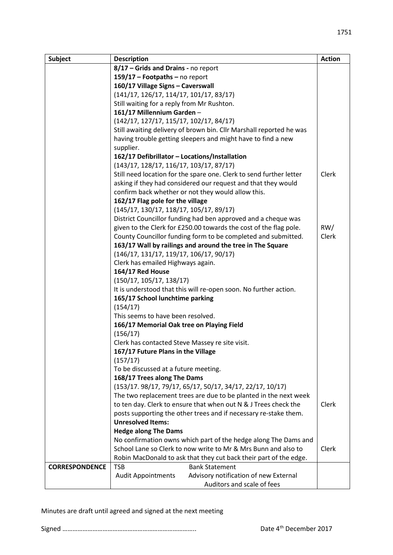| Subject               | <b>Description</b>                                                  | <b>Action</b> |
|-----------------------|---------------------------------------------------------------------|---------------|
|                       | 8/17 - Grids and Drains - no report                                 |               |
|                       | 159/17 - Footpaths - no report                                      |               |
|                       | 160/17 Village Signs - Caverswall                                   |               |
|                       | $(141/17, 126/17, 114/17, 101/17, 83/17)$                           |               |
|                       | Still waiting for a reply from Mr Rushton.                          |               |
|                       | 161/17 Millennium Garden-                                           |               |
|                       | $(142/17, 127/17, 115/17, 102/17, 84/17)$                           |               |
|                       | Still awaiting delivery of brown bin. Cllr Marshall reported he was |               |
|                       | having trouble getting sleepers and might have to find a new        |               |
|                       | supplier.                                                           |               |
|                       | 162/17 Defibrillator - Locations/Installation                       |               |
|                       | $(143/17, 128/17, 116/17, 103/17, 87/17)$                           |               |
|                       | Still need location for the spare one. Clerk to send further letter | Clerk         |
|                       | asking if they had considered our request and that they would       |               |
|                       | confirm back whether or not they would allow this.                  |               |
|                       | 162/17 Flag pole for the village                                    |               |
|                       | $(145/17, 130/17, 118/17, 105/17, 89/17)$                           |               |
|                       | District Councillor funding had ben approved and a cheque was       |               |
|                       | given to the Clerk for £250.00 towards the cost of the flag pole.   | RW/           |
|                       | County Councillor funding form to be completed and submitted.       | <b>Clerk</b>  |
|                       | 163/17 Wall by railings and around the tree in The Square           |               |
|                       | $(146/17, 131/17, 119/17, 106/17, 90/17)$                           |               |
|                       | Clerk has emailed Highways again.                                   |               |
|                       | 164/17 Red House                                                    |               |
|                       | (150/17, 105/17, 138/17)                                            |               |
|                       | It is understood that this will re-open soon. No further action.    |               |
|                       | 165/17 School lunchtime parking                                     |               |
|                       | (154/17)                                                            |               |
|                       | This seems to have been resolved.                                   |               |
|                       | 166/17 Memorial Oak tree on Playing Field                           |               |
|                       | (156/17)                                                            |               |
|                       | Clerk has contacted Steve Massey re site visit.                     |               |
|                       | 167/17 Future Plans in the Village                                  |               |
|                       | (157/17)                                                            |               |
|                       | To be discussed at a future meeting.                                |               |
|                       | 168/17 Trees along The Dams                                         |               |
|                       | (153/17. 98/17, 79/17, 65/17, 50/17, 34/17, 22/17, 10/17)           |               |
|                       | The two replacement trees are due to be planted in the next week    |               |
|                       | to ten day. Clerk to ensure that when out N & J Trees check the     | Clerk         |
|                       | posts supporting the other trees and if necessary re-stake them.    |               |
|                       | <b>Unresolved Items:</b>                                            |               |
|                       | <b>Hedge along The Dams</b>                                         |               |
|                       | No confirmation owns which part of the hedge along The Dams and     |               |
|                       | School Lane so Clerk to now write to Mr & Mrs Bunn and also to      | Clerk         |
|                       | Robin MacDonald to ask that they cut back their part of the edge.   |               |
| <b>CORRESPONDENCE</b> | <b>Bank Statement</b><br><b>TSB</b>                                 |               |
|                       | Advisory notification of new External<br><b>Audit Appointments</b>  |               |
|                       | Auditors and scale of fees                                          |               |

Minutes are draft until agreed and signed at the next meeting

Signed …………………………………………………………………….. Date 4th December 2017